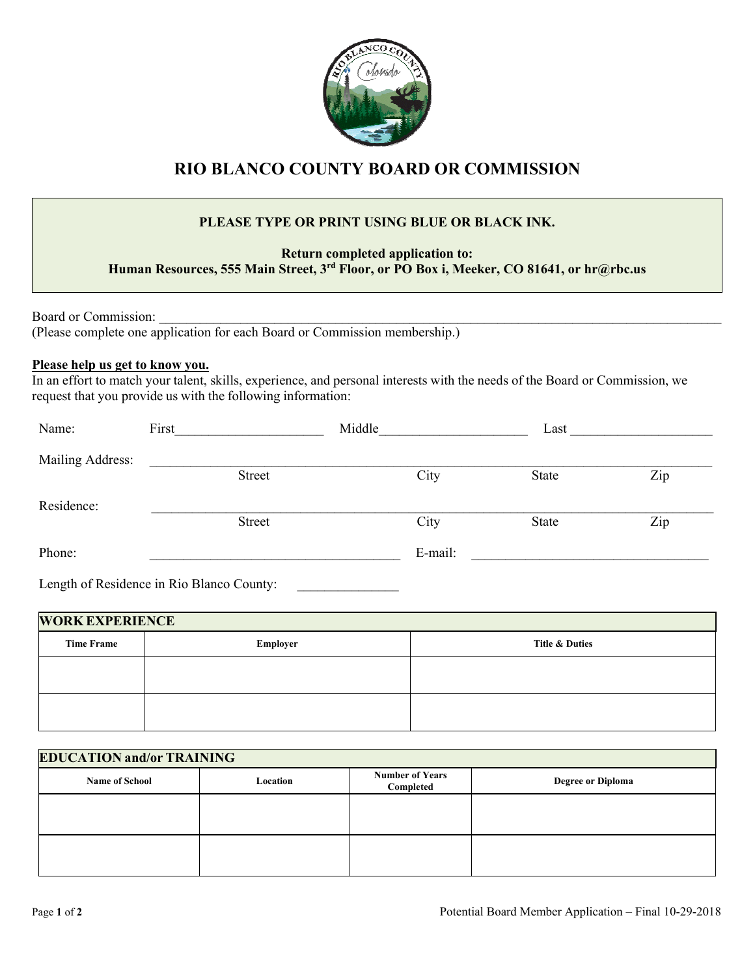

## **RIO BLANCO COUNTY BOARD OR COMMISSION**

## **PLEASE TYPE OR PRINT USING BLUE OR BLACK INK.**

**Return completed application to: Human Resources, 555 Main Street, 3rd Floor, or PO Box i, Meeker, CO 81641, or hr@rbc.us** 

Board or Commission:

(Please complete one application for each Board or Commission membership.)

## **Please help us get to know you.**

In an effort to match your talent, skills, experience, and personal interests with the needs of the Board or Commission, we request that you provide us with the following information:

| Name:            | First  | Middle  | Last  |     |
|------------------|--------|---------|-------|-----|
| Mailing Address: |        |         |       |     |
|                  | Street | City    | State | Zip |
| Residence:       |        |         |       |     |
|                  | Street | City    | State | Zip |
| Phone:           |        | E-mail: |       |     |
|                  |        |         |       |     |

Length of Residence in Rio Blanco County:

| <b>WORK EXPERIENCE</b> |          |                |
|------------------------|----------|----------------|
| <b>Time Frame</b>      | Employer | Title & Duties |
|                        |          |                |
|                        |          |                |
|                        |          |                |

| <b>EDUCATION and/or TRAINING</b> |          |                                     |                          |
|----------------------------------|----------|-------------------------------------|--------------------------|
| <b>Name of School</b>            | Location | <b>Number of Years</b><br>Completed | <b>Degree or Diploma</b> |
|                                  |          |                                     |                          |
|                                  |          |                                     |                          |
|                                  |          |                                     |                          |
|                                  |          |                                     |                          |